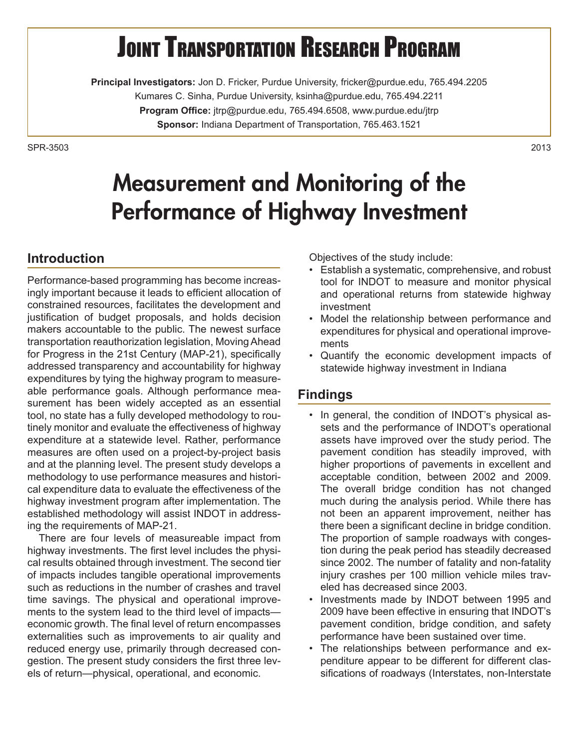# **JOINT TRANSPORTATION RESEARCH PROGRAM**

**Principal Investigators:** Jon D. Fricker, Purdue University, fricker@purdue.edu, 765.494.2205 Kumares C. Sinha, Purdue University, ksinha@purdue.edu, 765.494.2211 **Program Office:** jtrp@purdue.edu, 765.494.6508, www.purdue.edu/jtrp **Sponsor:** Indiana Department of Transportation, 765.463.1521

SPR-35032013

## Measurement and Monitoring of the Performance of Highway Investment

### **Introduction**

Performance-based programming has become increasingly important because it leads to efficient allocation of constrained resources, facilitates the development and justification of budget proposals, and holds decision makers accountable to the public. The newest surface transportation reauthorization legislation, Moving Ahead for Progress in the 21st Century (MAP-21), specifically addressed transparency and accountability for highway expenditures by tying the highway program to measureable performance goals. Although performance measurement has been widely accepted as an essential tool, no state has a fully developed methodology to routinely monitor and evaluate the effectiveness of highway expenditure at a statewide level. Rather, performance measures are often used on a project-by-project basis and at the planning level. The present study develops a methodology to use performance measures and historical expenditure data to evaluate the effectiveness of the highway investment program after implementation. The established methodology will assist INDOT in addressing the requirements of MAP-21.

There are four levels of measureable impact from highway investments. The first level includes the physical results obtained through investment. The second tier of impacts includes tangible operational improvements such as reductions in the number of crashes and travel time savings. The physical and operational improvements to the system lead to the third level of impacts economic growth. The final level of return encompasses externalities such as improvements to air quality and reduced energy use, primarily through decreased congestion. The present study considers the first three levels of return—physical, operational, and economic.

Objectives of the study include:

- • Establish a systematic, comprehensive, and robust tool for INDOT to measure and monitor physical and operational returns from statewide highway investment
- Model the relationship between performance and expenditures for physical and operational improvements
- • Quantify the economic development impacts of statewide highway investment in Indiana

#### **Findings**

- In general, the condition of INDOT's physical assets and the performance of INDOT's operational assets have improved over the study period. The pavement condition has steadily improved, with higher proportions of pavements in excellent and acceptable condition, between 2002 and 2009. The overall bridge condition has not changed much during the analysis period. While there has not been an apparent improvement, neither has there been a significant decline in bridge condition. The proportion of sample roadways with congestion during the peak period has steadily decreased since 2002. The number of fatality and non-fatality injury crashes per 100 million vehicle miles traveled has decreased since 2003.
- • Investments made by INDOT between 1995 and 2009 have been effective in ensuring that INDOT's pavement condition, bridge condition, and safety performance have been sustained over time.
- The relationships between performance and expenditure appear to be different for different classifications of roadways (Interstates, non-Interstate